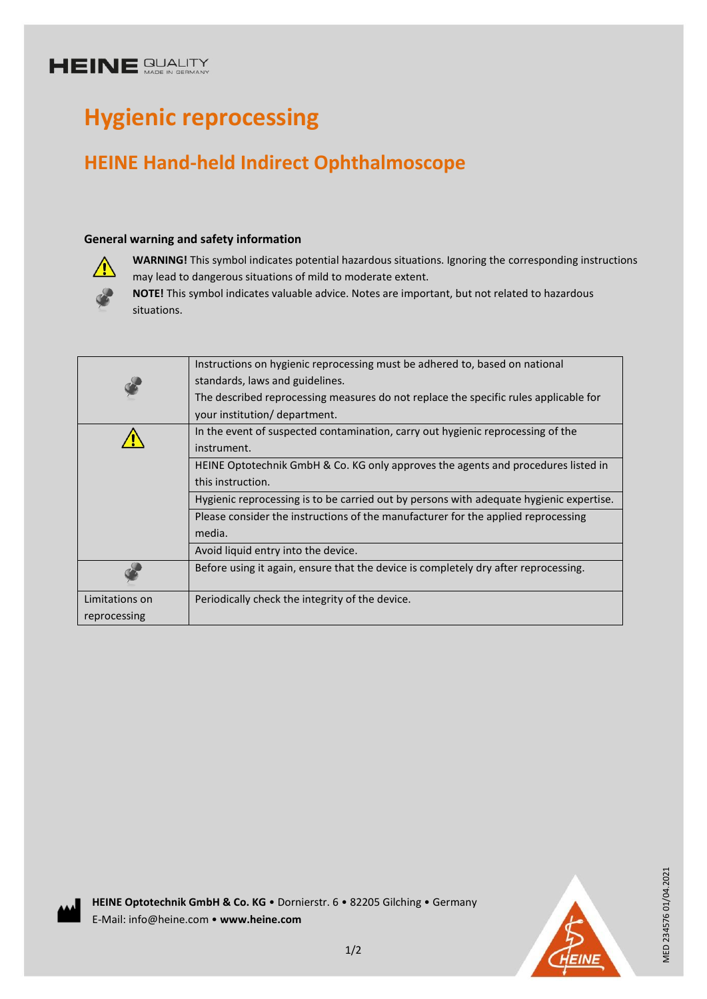## **HEINE SUALITY**

# **Hygienic reprocessing**

# **HEINE Hand-held Indirect Ophthalmoscope**

#### **General warning and safety information**



**WARNING!** This symbol indicates potential hazardous situations. Ignoring the corresponding instructions may lead to dangerous situations of mild to moderate extent.

**NOTE!** This symbol indicates valuable advice. Notes are important, but not related to hazardous situations.

|                | Instructions on hygienic reprocessing must be adhered to, based on national             |
|----------------|-----------------------------------------------------------------------------------------|
|                | standards, laws and guidelines.                                                         |
|                | The described reprocessing measures do not replace the specific rules applicable for    |
|                | your institution/ department.                                                           |
|                | In the event of suspected contamination, carry out hygienic reprocessing of the         |
|                | instrument.                                                                             |
|                | HEINE Optotechnik GmbH & Co. KG only approves the agents and procedures listed in       |
|                | this instruction.                                                                       |
|                | Hygienic reprocessing is to be carried out by persons with adequate hygienic expertise. |
|                | Please consider the instructions of the manufacturer for the applied reprocessing       |
|                | media.                                                                                  |
|                | Avoid liquid entry into the device.                                                     |
|                | Before using it again, ensure that the device is completely dry after reprocessing.     |
| Limitations on | Periodically check the integrity of the device.                                         |
| reprocessing   |                                                                                         |